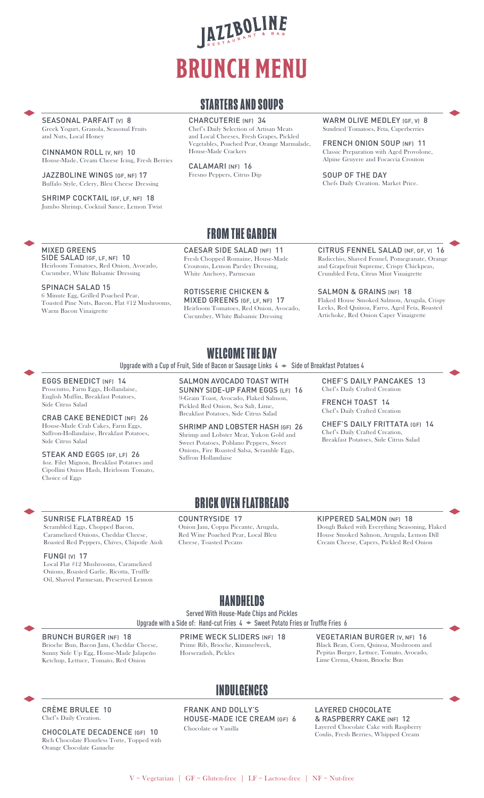# JAZZBOLINE **BRUNCH MENU**

## **STARTERS AND SOUPS**

CHARCUTERIE (NF) 34 Chef's Daily Selection of Artisan Meats and Local Cheeses, Fresh Grapes, Pickled Vegetables, Poached Pear, Orange Marmalade, House-Made Crackers

CALAMARI (NF) 16 Fresno Peppers, Citrus Dip WARM OLIVE MEDLEY (GF, V) 8 Sundried Tomatoes, Feta, Caperberries

FRENCH ONION SOUP (NF) 11 Classic Preparation with Aged Provolone, Alpine Gruyere and Focaccia Crouton

SOUP OF THE DAY Chefs Daily Creation. Market Price.

SEASONAL PARFAIT (V) 8 Greek Yogurt, Granola, Seasonal Fruits and Nuts, Local Honey

CINNAMON ROLL (V, NF) 10 House-Made, Cream Cheese Icing, Fresh Berries

JAZZBOLINE WINGS (GF, NF) 17 Buffalo Style, Celery, Bleu Cheese Dressing

SHRIMP COCKTAIL (GF, LF, NF) 18 Jumbo Shrimp, Cocktail Sauce, Lemon Twist

# **FROM THE GARDEN**

CAESAR SIDE SALAD (NF) 11 Fresh Chopped Romaine, House-Made Croutons, Lemon Parsley Dressing, White Anchovy, Parmesan

ROTISSERIE CHICKEN & MIXED GREENS (GF, LF, NF) 17 Heirloom Tomatoes, Red Onion, Avocado, Cucumber, White Balsamic Dressing

CITRUS FENNEL SALAD (NF, GF, V) 16 Radicchio, Shaved Fennel, Pomegranate, Orange and Grapefruit Supreme, Crispy Chickpeas, Crumbled Feta, Citrus Mint Vinaigrette

SALMON & GRAINS (NF) 18 Flaked House Smoked Salmon, Arugula, Crispy Leeks, Red Quinoa, Farro, Aged Feta, Roasted Artichoke, Red Onion Caper Vinaigrette

MIXED GREENS SIDE SALAD (GF, LF, NF) 10

Heirloom Tomatoes, Red Onion, Avocado, Cucumber, White Balsamic Dressing

SPINACH SALAD 15 6 Minute Egg, Grilled Poached Pear, Toasted Pine Nuts, Bacon, Flat #12 Mushrooms, Warm Bacon Vinaigrette

# **WELCOME THE DAY**

Upgrade with a Cup of Fruit, Side of Bacon or Sausage Links  $4 \rightarrow$  Side of Breakfast Potatoes 4

#### EGGS BENEDICT (NF) 14

Prosciutto, Farm Eggs, Hollandaise, English Muffin, Breakfast Potatoes, Side Citrus Salad

CRAB CAKE BENEDICT (NF) 26 House-Made Crab Cakes, Farm Eggs, Saffron-Hollandaise, Breakfast Potatoes, Side Citrus Salad

STEAK AND EGGS (GF, LF) 26 4oz. Filet Mignon, Breakfast Potatoes and Cipollini Onion Hash, Heirloom Tomato, Choice of Eggs

SUNRISE FLATBREAD 15 Scrambled Eggs, Chopped Bacon, Caramelized Onions, Cheddar Cheese, Roasted Red Peppers, Chives, Chipotle Aioli SALMON AVOCADO TOAST WITH SUNNY SIDE-UP FARM EGGS (LF) 16 9-Grain Toast, Avocado, Flaked Salmon, Pickled Red Onion, Sea Salt, Lime,

Breakfast Potatoes, Side Citrus Salad

SHRIMP AND LOBSTER HASH (GF) 26 Shrimp and Lobster Meat, Yukon Gold and Sweet Potatoes, Poblano Peppers, Sweet Onions, Fire Roasted Salsa, Scramble Eggs, Saffron Hollandaise

CHEF'S DAILY PANCAKES 13 Chef's Daily Crafted Creation

FRENCH TOAST 14 Chef's Daily Crafted Creation

CHEE'S DAILY FRITTATA (GF) 14 Chef's Daily Crafted Creation, Breakfast Potatoes, Side Citrus Salad

# **BRICK OVEN FLATBREADS**

#### COUNTRYSIDE 17

Onion Jam, Coppa Piccante, Arugula, Red Wine Poached Pear, Local Bleu Cheese, Toasted Pecans

KIPPERED SALMON (NF) 18

Dough Baked with Everything Seasoning, Flaked House Smoked Salmon, Arugula, Lemon Dill Cream Cheese, Capers, Pickled Red Onion

#### FUNGI (V) 17

Local Flat #12 Mushrooms, Caramelized Onions, Roasted Garlic, Ricotta, Truffle Oil, Shaved Parmesan, Preserved Lemon

## **HANDHELDS**

Served With House-Made Chips and Pickles Upgrade with a Side of: Hand-cut Fries  $4 \rightarrow$  Sweet Potato Fries or Truffle Fries 6

BRUNCH BURGER (NF) 18 Brioche Bun, Bacon Jam, Cheddar Cheese, Sunny Side Up Egg, House-Made Jalapeño Ketchup, Lettuce, Tomato, Red Onion

PRIME WECK SLIDERS (NF) 18 Prime Rib, Brioche, Kimmelweck, Horseradish, Pickles

VEGETARIAN BURGER (V, NF) 16 Black Bean, Corn, Quinoa, Mushroom and Pepitas Burger, Lettuce, Tomato, Avocado, Lime Crema, Onion, Brioche Bun

# **INDULGENCES**

CRÈME BRULEE 10 Chef's Daily Creation.

CHOCOLATE DECADENCE (GF) 10 Rich Chocolate Flourless Torte, Topped with Orange Chocolate Ganache

FRANK AND DOLLY'S HOUSE-MADE ICE CREAM (GF) 6 Chocolate or Vanilla

LAYERED CHOCOLATE & RASPBERRY CAKE (NF) 12 Layered Chocolate Cake with Raspberry Coulis, Fresh Berries, Whipped Cream